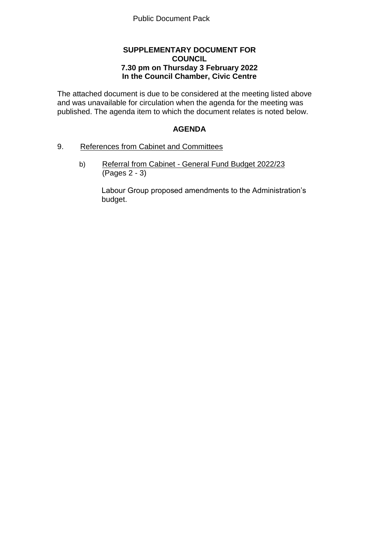# **SUPPLEMENTARY DOCUMENT FOR COUNCIL 7.30 pm on Thursday 3 February 2022 In the Council Chamber, Civic Centre**

The attached document is due to be considered at the meeting listed above and was unavailable for circulation when the agenda for the meeting was published. The agenda item to which the document relates is noted below.

# **AGENDA**

## 9. References from Cabinet and Committees

b) Referral from Cabinet - General Fund Budget 2022/23 (Pages 2 - 3)

> Labour Group proposed amendments to the Administration's budget.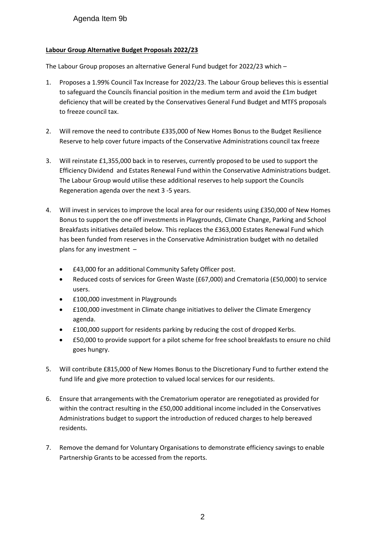#### **Labour Group Alternative Budget Proposals 2022/23**

The Labour Group proposes an alternative General Fund budget for 2022/23 which –

- 1. Proposes a 1.99% Council Tax Increase for 2022/23. The Labour Group believes this is essential to safeguard the Councils financial position in the medium term and avoid the £1m budget deficiency that will be created by the Conservatives General Fund Budget and MTFS proposals to freeze council tax.
- 2. Will remove the need to contribute £335,000 of New Homes Bonus to the Budget Resilience Reserve to help cover future impacts of the Conservative Administrations council tax freeze
- 3. Will reinstate £1,355,000 back in to reserves, currently proposed to be used to support the Efficiency Dividend and Estates Renewal Fund within the Conservative Administrations budget. The Labour Group would utilise these additional reserves to help support the Councils Regeneration agenda over the next 3 -5 years.
- 4. Will invest in services to improve the local area for our residents using £350,000 of New Homes Bonus to support the one off investments in Playgrounds, Climate Change, Parking and School Breakfasts initiatives detailed below. This replaces the £363,000 Estates Renewal Fund which has been funded from reserves in the Conservative Administration budget with no detailed plans for any investment –
	- £43,000 for an additional Community Safety Officer post.
	- Reduced costs of services for Green Waste (£67,000) and Crematoria (£50,000) to service users.
	- £100,000 investment in Playgrounds
	- £100,000 investment in Climate change initiatives to deliver the Climate Emergency agenda.
	- £100,000 support for residents parking by reducing the cost of dropped Kerbs.
	- £50,000 to provide support for a pilot scheme for free school breakfasts to ensure no child goes hungry.
- 5. Will contribute £815,000 of New Homes Bonus to the Discretionary Fund to further extend the fund life and give more protection to valued local services for our residents.
- 6. Ensure that arrangements with the Crematorium operator are renegotiated as provided for within the contract resulting in the £50,000 additional income included in the Conservatives Administrations budget to support the introduction of reduced charges to help bereaved residents.
- 7. Remove the demand for Voluntary Organisations to demonstrate efficiency savings to enable Partnership Grants to be accessed from the reports.